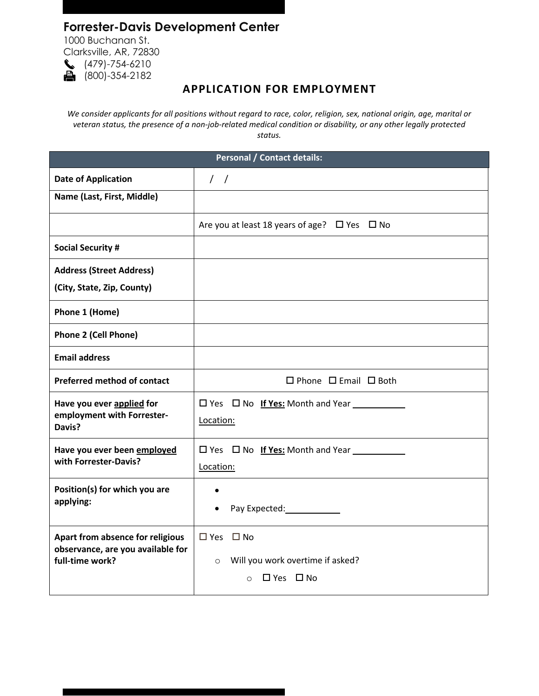1000 Buchanan St. Clarksville, AR, 72830

 $\left(479\right)$ -754-6210 ● (800)-354-2182

## **APPLICATION FOR EMPLOYMENT**

*We consider applicants for all positions without regard to race, color, religion, sex, national origin, age, marital or veteran status, the presence of a non-job-related medical condition or disability, or any other legally protected status.*

| <b>Personal / Contact details:</b>                      |                                                        |  |
|---------------------------------------------------------|--------------------------------------------------------|--|
| <b>Date of Application</b>                              | $\left  \right $                                       |  |
| Name (Last, First, Middle)                              |                                                        |  |
|                                                         | Are you at least 18 years of age? $\Box$ Yes $\Box$ No |  |
| <b>Social Security #</b>                                |                                                        |  |
| <b>Address (Street Address)</b>                         |                                                        |  |
| (City, State, Zip, County)                              |                                                        |  |
| Phone 1 (Home)                                          |                                                        |  |
| <b>Phone 2 (Cell Phone)</b>                             |                                                        |  |
| <b>Email address</b>                                    |                                                        |  |
| <b>Preferred method of contact</b>                      | $\Box$ Phone $\Box$ Email $\Box$ Both                  |  |
| Have you ever applied for<br>employment with Forrester- |                                                        |  |
| Davis?                                                  | Location:                                              |  |
| Have you ever been employed                             |                                                        |  |
| with Forrester-Davis?                                   | Location:                                              |  |
| Position(s) for which you are                           |                                                        |  |
| applying:                                               |                                                        |  |
| Apart from absence for religious                        | $\Box$ Yes $\Box$ No                                   |  |
| observance, are you available for<br>full-time work?    | Will you work overtime if asked?<br>$\circ$            |  |
|                                                         | $\Box$ Yes $\Box$ No<br>$\Omega$                       |  |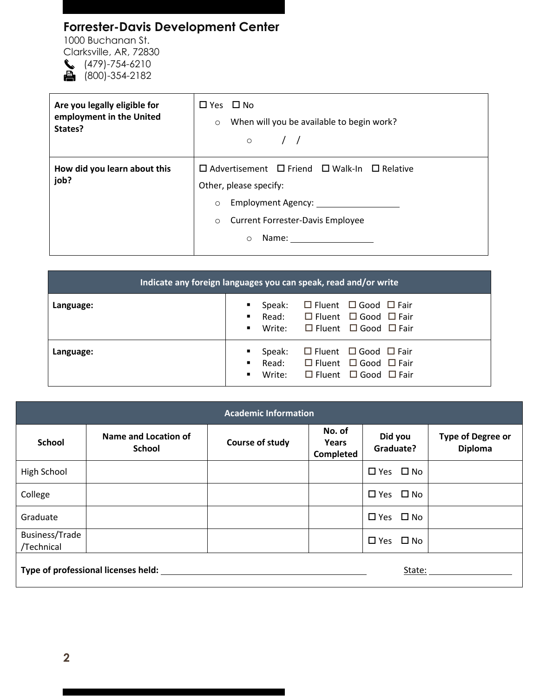1000 Buchanan St. Clarksville, AR, 72830



(479)-754-6210 (800)-354-2182

| Are you legally eligible for<br>employment in the United<br>States? | $\Box$ Yes $\Box$ No<br>When will you be available to begin work?<br>$\circ$<br>$\circ$                                                                                               |
|---------------------------------------------------------------------|---------------------------------------------------------------------------------------------------------------------------------------------------------------------------------------|
| How did you learn about this<br>job?                                | $\Box$ Advertisement $\Box$ Friend $\Box$ Walk-In $\Box$ Relative<br>Other, please specify:<br>$\circ$<br><b>Current Forrester-Davis Employee</b><br>$\circ$<br>Name: Name<br>$\circ$ |

| Indicate any foreign languages you can speak, read and/or write |                                                                                                                                                                     |  |
|-----------------------------------------------------------------|---------------------------------------------------------------------------------------------------------------------------------------------------------------------|--|
| Language:                                                       | $\Box$ Fluent $\Box$ Good $\Box$ Fair<br>Speak:<br>٠<br>Read: $\Box$ Fluent $\Box$ Good $\Box$ Fair<br>٠<br>$\Box$ Fluent $\Box$ Good $\Box$ Fair<br>Write:<br>٠    |  |
| Language:                                                       | $\Box$ Fluent $\Box$ Good $\Box$ Fair<br>Speak:<br>٠<br>$\Box$ Fluent $\Box$ Good $\Box$ Fair<br>Read:<br>٠<br>$\Box$ Fluent $\Box$ Good $\Box$ Fair<br>Write:<br>٠ |  |

|                                               |                                       | <b>Academic Information</b> |                              |                      |                                            |
|-----------------------------------------------|---------------------------------------|-----------------------------|------------------------------|----------------------|--------------------------------------------|
| <b>School</b>                                 | Name and Location of<br><b>School</b> | <b>Course of study</b>      | No. of<br>Years<br>Completed | Did you<br>Graduate? | <b>Type of Degree or</b><br><b>Diploma</b> |
| High School                                   |                                       |                             |                              | $\Box$ Yes $\Box$ No |                                            |
| College                                       |                                       |                             |                              | $\Box$ Yes $\Box$ No |                                            |
| Graduate                                      |                                       |                             |                              | $\Box$ Yes $\Box$ No |                                            |
| Business/Trade<br>/Technical                  |                                       |                             |                              | $\Box$ Yes $\Box$ No |                                            |
| Type of professional licenses held:<br>State: |                                       |                             |                              |                      |                                            |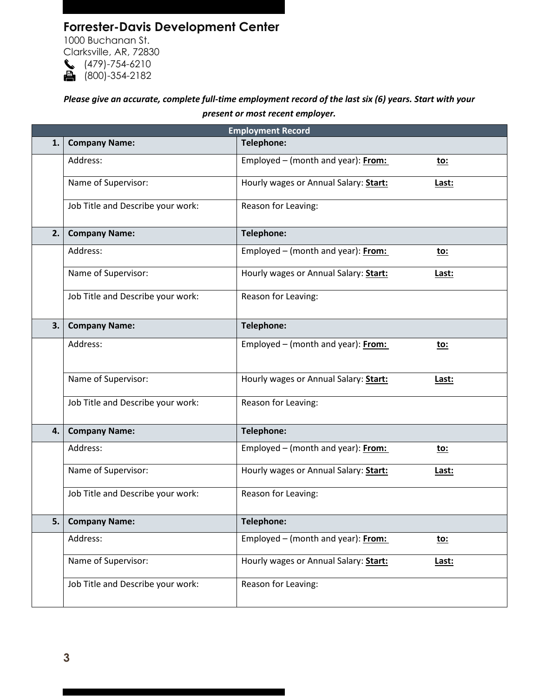1000 Buchanan St. Clarksville, AR, 72830  $(479) - 754 - 6210$ 

 $(800) - 354 - 2182$ 

## *Please give an accurate, complete full-time employment record of the last six (6) years. Start with your present or most recent employer.*

|    | <b>Employment Record</b>          |                                                  |  |
|----|-----------------------------------|--------------------------------------------------|--|
| 1. | <b>Company Name:</b>              | Telephone:                                       |  |
|    | Address:                          | Employed - (month and year): From:<br><u>to:</u> |  |
|    | Name of Supervisor:               | Hourly wages or Annual Salary: Start:<br>Last:   |  |
|    | Job Title and Describe your work: | Reason for Leaving:                              |  |
| 2. | <b>Company Name:</b>              | Telephone:                                       |  |
|    | Address:                          | Employed - (month and year): From:<br><u>to:</u> |  |
|    | Name of Supervisor:               | Hourly wages or Annual Salary: Start:<br>Last:   |  |
|    | Job Title and Describe your work: | Reason for Leaving:                              |  |
| 3. | <b>Company Name:</b>              | Telephone:                                       |  |
|    | Address:                          | Employed - (month and year): From:<br>to:        |  |
|    | Name of Supervisor:               | Hourly wages or Annual Salary: Start:<br>Last:   |  |
|    | Job Title and Describe your work: | Reason for Leaving:                              |  |
| 4. | <b>Company Name:</b>              | Telephone:                                       |  |
|    | Address:                          | Employed - (month and year): From:<br><u>to:</u> |  |
|    | Name of Supervisor:               | Hourly wages or Annual Salary: Start:<br>Last:   |  |
|    | Job Title and Describe your work: | Reason for Leaving:                              |  |
| 5. | <b>Company Name:</b>              | Telephone:                                       |  |
|    | Address:                          | Employed - (month and year): From:<br><u>to:</u> |  |
|    | Name of Supervisor:               | Hourly wages or Annual Salary: Start:<br>Last:   |  |
|    | Job Title and Describe your work: | Reason for Leaving:                              |  |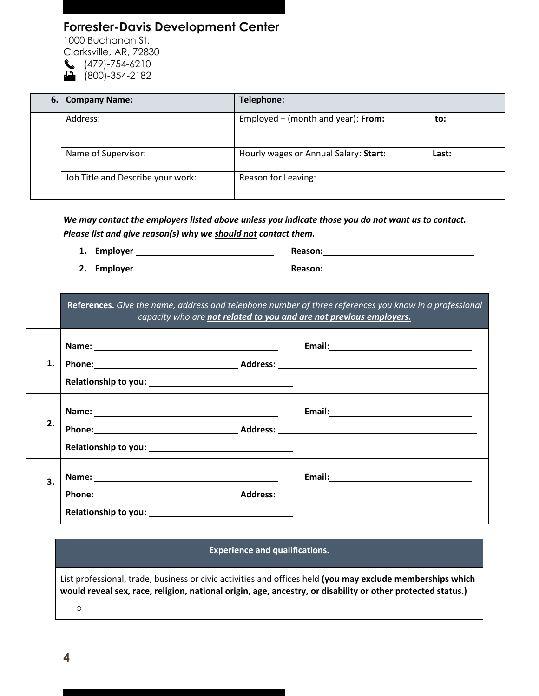1000 Buchanan St. Clarksville, AR, 72830  $(479) - 754 - 6210$ 

■ (800)-354-2182

| 6.1 | <b>Company Name:</b>              | Telephone:                                            |
|-----|-----------------------------------|-------------------------------------------------------|
|     | Address:                          | Employed - (month and year): From:<br><u>to:</u>      |
|     | Name of Supervisor:               | Hourly wages or Annual Salary: <b>Start:</b><br>Last: |
|     | Job Title and Describe your work: | Reason for Leaving:                                   |

*We may contact the employers listed above unless you indicate those you do not want us to contact. Please list and give reason(s) why we should not contact them.* 

- **1. Employer Reason:**
- **2. Employer Reason:**

**References.** *Give the name, address and telephone number of three references you know in a professional capacity who are not related to you and are not previous employers.*

| 1. |                                                                                                                                                                                                                                                                                                                                                  |  |
|----|--------------------------------------------------------------------------------------------------------------------------------------------------------------------------------------------------------------------------------------------------------------------------------------------------------------------------------------------------|--|
| 2. |                                                                                                                                                                                                                                                                                                                                                  |  |
| 3. | Name: 2008 2010 2020 2020 2020 2021 2021 2022 2022 2022 2022 2022 2022 2022 2022 2022 2022 2022 2022 2022 2022<br>Phone: Address: Address: Address: Address: Address: Address: Address: Address: Address: Address: Address: Address: Address: Address: Address: Address: Address: Address: Address: Address: Address: Address: Address: Address: |  |

#### **Experience and qualifications.**

List professional, trade, business or civic activities and offices held **(you may exclude memberships which would reveal sex, race, religion, national origin, age, ancestry, or disability or other protected status.)**

o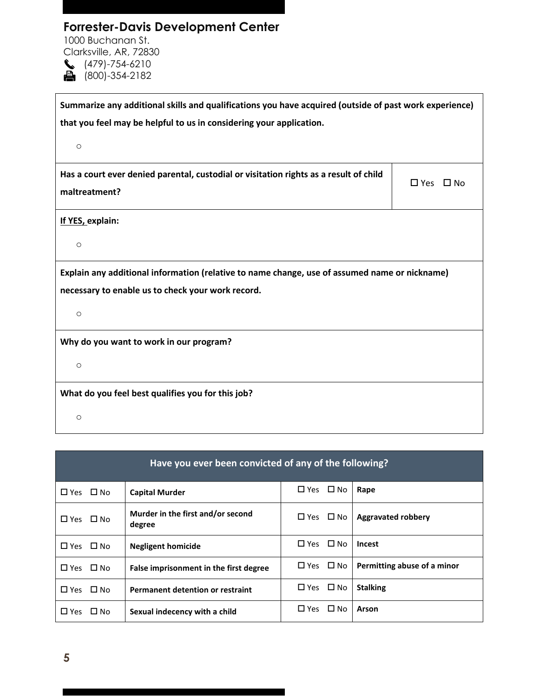

(800)-354-2182

| Summarize any additional skills and qualifications you have acquired (outside of past work experience) |                      |  |
|--------------------------------------------------------------------------------------------------------|----------------------|--|
| that you feel may be helpful to us in considering your application.                                    |                      |  |
| $\circ$                                                                                                |                      |  |
| Has a court ever denied parental, custodial or visitation rights as a result of child<br>maltreatment? | $\Box$ Yes $\Box$ No |  |
| If YES, explain:                                                                                       |                      |  |
| $\circ$                                                                                                |                      |  |
| Explain any additional information (relative to name change, use of assumed name or nickname)          |                      |  |
| necessary to enable us to check your work record.                                                      |                      |  |
| $\circ$                                                                                                |                      |  |
| Why do you want to work in our program?                                                                |                      |  |
| $\circ$                                                                                                |                      |  |
| What do you feel best qualifies you for this job?                                                      |                      |  |
| $\circ$                                                                                                |                      |  |

| Have you ever been convicted of any of the following? |                                             |                               |                             |
|-------------------------------------------------------|---------------------------------------------|-------------------------------|-----------------------------|
| $\Box$ Yes $\Box$ No                                  | <b>Capital Murder</b>                       | $\square$ Yes<br>$\square$ No | Rape                        |
| □ Yes □ No                                            | Murder in the first and/or second<br>degree | $\Box$ Yes<br>$\square$ No    | <b>Aggravated robbery</b>   |
| $\Box$ Yes $\Box$ No                                  | <b>Negligent homicide</b>                   | $\Box$ Yes<br>$\square$ No    | Incest                      |
| □ Yes □ No                                            | False imprisonment in the first degree      | $\Box$ Yes<br>$\square$ No    | Permitting abuse of a minor |
| $\Box$ Yes $\Box$ No                                  | Permanent detention or restraint            | $\Box$ Yes $\Box$ No          | <b>Stalking</b>             |
| $\Box$ Yes $\Box$ No                                  | Sexual indecency with a child               | $\Box$ Yes<br>$\Box$ No       | Arson                       |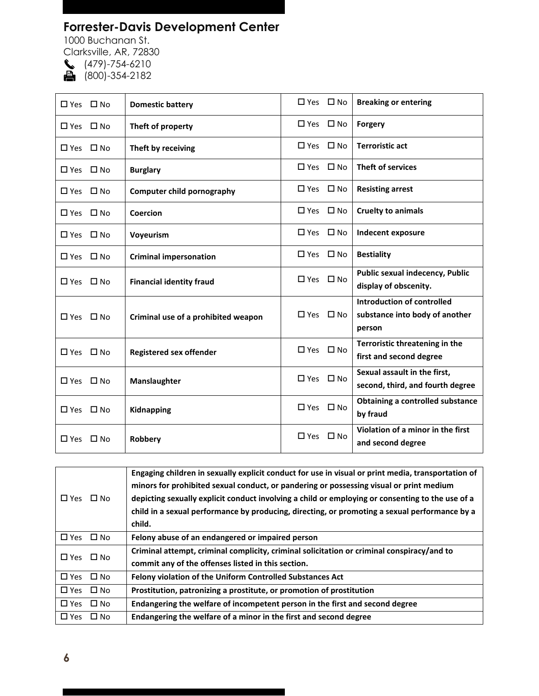1000 Buchanan St. Clarksville, AR, 72830



(479)-754-6210 (800)-354-2182

| □ Yes □ No            | <b>Domestic battery</b>             | $\square$ No<br>$\square$ Yes | <b>Breaking or entering</b>                                                   |
|-----------------------|-------------------------------------|-------------------------------|-------------------------------------------------------------------------------|
| $\Box$ Yes $\Box$ No  | Theft of property                   | $\square$ Yes<br>$\square$ No | Forgery                                                                       |
| □ Yes □ No            | Theft by receiving                  | $\square$ No<br>$\square$ Yes | <b>Terroristic act</b>                                                        |
| $\Box$ Yes $\Box$ No  | <b>Burglary</b>                     | $\square$ No<br>$\square$ Yes | Theft of services                                                             |
| $\Box$ Yes $\Box$ No  | <b>Computer child pornography</b>   | $\square$ No<br>$\square$ Yes | <b>Resisting arrest</b>                                                       |
| $\Box$ Yes $\Box$ No  | Coercion                            | $\square$ No<br>$\square$ Yes | <b>Cruelty to animals</b>                                                     |
| $\Box$ Yes $\Box$ No  | Voyeurism                           | $\square$ No<br>$\square$ Yes | Indecent exposure                                                             |
| □ No<br>$\square$ Yes | <b>Criminal impersonation</b>       | $\square$ Yes<br>$\square$ No | <b>Bestiality</b>                                                             |
| $\Box$ Yes $\Box$ No  | <b>Financial identity fraud</b>     | $\square$ No<br>$\square$ Yes | <b>Public sexual indecency, Public</b><br>display of obscenity.               |
| $\Box$ Yes $\Box$ No  | Criminal use of a prohibited weapon | $\square$ No<br>$\square$ Yes | <b>Introduction of controlled</b><br>substance into body of another<br>person |
| □ Yes □ No            | <b>Registered sex offender</b>      | $\square$ Yes<br>$\square$ No | Terroristic threatening in the<br>first and second degree                     |
| $\Box$ Yes $\Box$ No  | Manslaughter                        | $\square$ Yes<br>$\square$ No | Sexual assault in the first,<br>second, third, and fourth degree              |
| $\Box$ Yes $\Box$ No  | <b>Kidnapping</b>                   | $\square$ No<br>$\square$ Yes | <b>Obtaining a controlled substance</b><br>by fraud                           |
| □ Yes □ No            | Robbery                             | $\square$ Yes<br>$\square$ No | Violation of a minor in the first<br>and second degree                        |

| □ Yes □ No           | Engaging children in sexually explicit conduct for use in visual or print media, transportation of<br>minors for prohibited sexual conduct, or pandering or possessing visual or print medium<br>depicting sexually explicit conduct involving a child or employing or consenting to the use of a<br>child in a sexual performance by producing, directing, or promoting a sexual performance by a<br>child. |
|----------------------|--------------------------------------------------------------------------------------------------------------------------------------------------------------------------------------------------------------------------------------------------------------------------------------------------------------------------------------------------------------------------------------------------------------|
| $\Box$ Yes $\Box$ No | Felony abuse of an endangered or impaired person                                                                                                                                                                                                                                                                                                                                                             |
| $\Box$ Yes $\Box$ No | Criminal attempt, criminal complicity, criminal solicitation or criminal conspiracy/and to                                                                                                                                                                                                                                                                                                                   |
|                      | commit any of the offenses listed in this section.                                                                                                                                                                                                                                                                                                                                                           |
| $\Box$ Yes $\Box$ No | <b>Felony violation of the Uniform Controlled Substances Act</b>                                                                                                                                                                                                                                                                                                                                             |
| $\Box$ Yes $\Box$ No | Prostitution, patronizing a prostitute, or promotion of prostitution                                                                                                                                                                                                                                                                                                                                         |
| □ Yes □ No           | Endangering the welfare of incompetent person in the first and second degree                                                                                                                                                                                                                                                                                                                                 |
| $\Box$ Yes $\Box$ No | Endangering the welfare of a minor in the first and second degree                                                                                                                                                                                                                                                                                                                                            |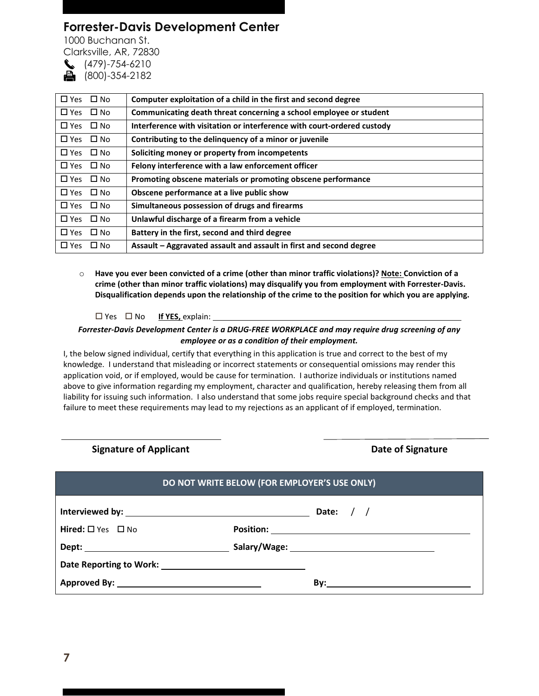1000 Buchanan St. Clarksville, AR, 72830

 $\binom{479}{754-6210}$ 

■ (800)-354-2182

| $\Box$ Yes $\Box$ No | Computer exploitation of a child in the first and second degree         |
|----------------------|-------------------------------------------------------------------------|
| $\Box$ Yes $\Box$ No | Communicating death threat concerning a school employee or student      |
| $\Box$ Yes $\Box$ No | Interference with visitation or interference with court-ordered custody |
| $\Box$ Yes $\Box$ No | Contributing to the delinguency of a minor or juvenile                  |
| □ Yes □ No           | Soliciting money or property from incompetents                          |
| $\Box$ Yes $\Box$ No | Felony interference with a law enforcement officer                      |
| $\Box$ Yes $\Box$ No | Promoting obscene materials or promoting obscene performance            |
| □ Yes □ No           | Obscene performance at a live public show                               |
| $\Box$ Yes $\Box$ No | Simultaneous possession of drugs and firearms                           |
| $\Box$ Yes $\Box$ No | Unlawful discharge of a firearm from a vehicle                          |
| $\Box$ Yes $\Box$ No | Battery in the first, second and third degree                           |
| $\Box$ Yes $\Box$ No | Assault – Aggravated assault and assault in first and second degree     |

o **Have you ever been convicted of a crime (other than minor traffic violations)? Note: Conviction of a crime (other than minor traffic violations) may disqualify you from employment with Forrester-Davis. Disqualification depends upon the relationship of the crime to the position for which you are applying.**

□ Yes □ No **If YES,** explain:

#### *Forrester-Davis Development Center is a DRUG-FREE WORKPLACE and may require drug screening of any employee or as a condition of their employment.*

I, the below signed individual, certify that everything in this application is true and correct to the best of my knowledge. I understand that misleading or incorrect statements or consequential omissions may render this application void, or if employed, would be cause for termination. I authorize individuals or institutions named above to give information regarding my employment, character and qualification, hereby releasing them from all liability for issuing such information. I also understand that some jobs require special background checks and that failure to meet these requirements may lead to my rejections as an applicant of if employed, termination.

**Signature of Applicant Community Community Community Community Community Community Community Community Community** 

| DO NOT WRITE BELOW (FOR EMPLOYER'S USE ONLY) |  |             |
|----------------------------------------------|--|-------------|
|                                              |  | Date: $/$ / |
| Hired: □ Yes □ No                            |  |             |
|                                              |  |             |
|                                              |  |             |
|                                              |  |             |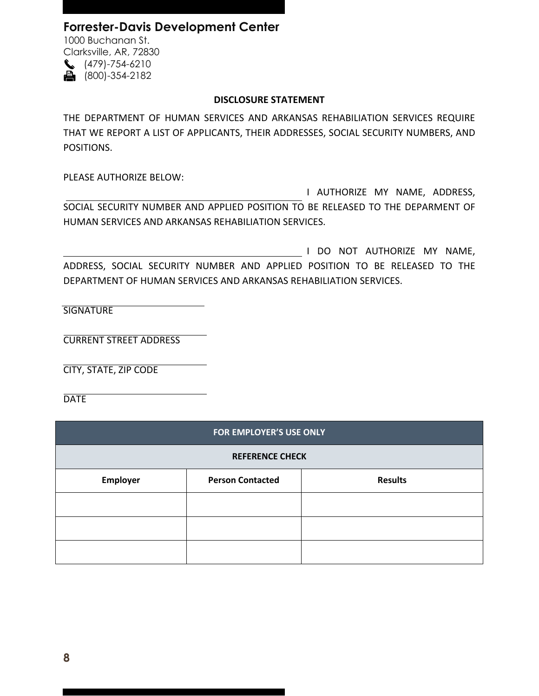1000 Buchanan St. Clarksville, AR, 72830  $(479) - 754 - 6210$ ■ (800)-354-2182

**DISCLOSURE STATEMENT**

THE DEPARTMENT OF HUMAN SERVICES AND ARKANSAS REHABILIATION SERVICES REQUIRE THAT WE REPORT A LIST OF APPLICANTS, THEIR ADDRESSES, SOCIAL SECURITY NUMBERS, AND POSITIONS.

PLEASE AUTHORIZE BELOW:

 I AUTHORIZE MY NAME, ADDRESS, SOCIAL SECURITY NUMBER AND APPLIED POSITION TO BE RELEASED TO THE DEPARMENT OF HUMAN SERVICES AND ARKANSAS REHABILIATION SERVICES.

 I DO NOT AUTHORIZE MY NAME, ADDRESS, SOCIAL SECURITY NUMBER AND APPLIED POSITION TO BE RELEASED TO THE DEPARTMENT OF HUMAN SERVICES AND ARKANSAS REHABILIATION SERVICES.

**SIGNATURE** 

CURRENT STREET ADDRESS

CITY, STATE, ZIP CODE

**DATE** 

| FOR EMPLOYER'S USE ONLY |                         |                |
|-------------------------|-------------------------|----------------|
| <b>REFERENCE CHECK</b>  |                         |                |
| Employer                | <b>Person Contacted</b> | <b>Results</b> |
|                         |                         |                |
|                         |                         |                |
|                         |                         |                |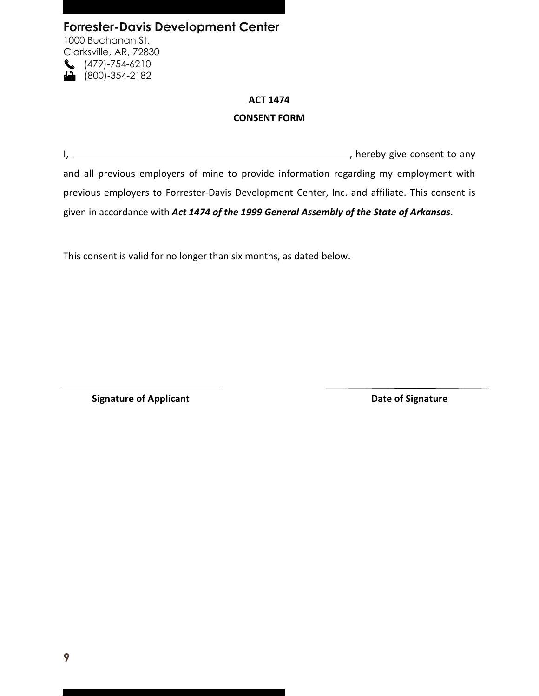**Forrester-Davis Development Center** 1000 Buchanan St.



**ACT 1474** 

#### **CONSENT FORM**

I, , hereby give consent to any and all previous employers of mine to provide information regarding my employment with previous employers to Forrester-Davis Development Center, Inc. and affiliate. This consent is given in accordance with *Act 1474 of the 1999 General Assembly of the State of Arkansas*.

This consent is valid for no longer than six months, as dated below.

**Signature of Applicant Community Community Community Community Community Community Community Community Community Community Community Community Community Community Community Community Community Community Community Communit**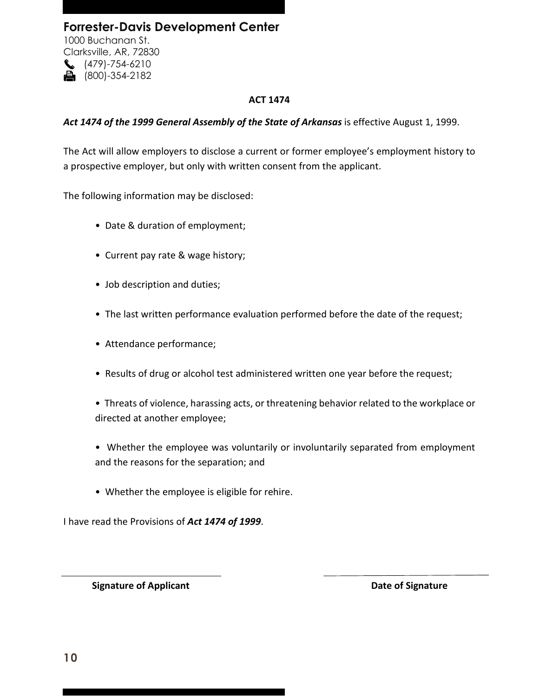**Forrester-Davis Development Center** 1000 Buchanan St.

Clarksville, AR, 72830  $\binom{479}{754-6210}$ **A** (800)-354-2182

#### **ACT 1474**

*Act 1474 of the 1999 General Assembly of the State of Arkansas* is effective August 1, 1999.

The Act will allow employers to disclose a current or former employee's employment history to a prospective employer, but only with written consent from the applicant.

The following information may be disclosed:

- Date & duration of employment;
- Current pay rate & wage history;
- Job description and duties;
- The last written performance evaluation performed before the date of the request;
- Attendance performance;
- Results of drug or alcohol test administered written one year before the request;
- Threats of violence, harassing acts, or threatening behavior related to the workplace or directed at another employee;
- Whether the employee was voluntarily or involuntarily separated from employment and the reasons for the separation; and
- Whether the employee is eligible for rehire.

I have read the Provisions of *Act 1474 of 1999*.

**Signature of Applicant Community Community Community Community Community Community Community Community Community Community Community Community Community Community Community Community Community Community Community Communit**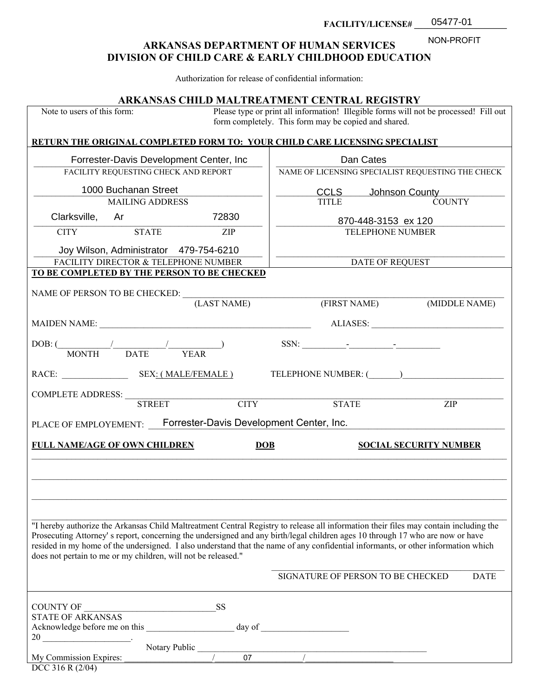**FACILITY/LICENSE# \_\_\_\_\_\_\_\_\_\_\_\_\_\_\_\_\_\_\_\_\_** 

#### **ARKANSAS DEPARTMENT OF HUMAN SERVICES DIVISION OF CHILD CARE & EARLY CHILDHOOD EDUCATION** NON-PROFIT

### **ARKANSAS CHILD MALTREATMENT CENTRAL REGISTRY**

|                                                                                                                                                                                                                                                                    | 05477-01<br><b>FACILITY/LICENSE#</b>                                                                                                                                                                                                 |  |
|--------------------------------------------------------------------------------------------------------------------------------------------------------------------------------------------------------------------------------------------------------------------|--------------------------------------------------------------------------------------------------------------------------------------------------------------------------------------------------------------------------------------|--|
| NON-PROFIT<br><b>ARKANSAS DEPARTMENT OF HUMAN SERVICES</b>                                                                                                                                                                                                         |                                                                                                                                                                                                                                      |  |
|                                                                                                                                                                                                                                                                    | <b>DIVISION OF CHILD CARE &amp; EARLY CHILDHOOD EDUCATION</b>                                                                                                                                                                        |  |
|                                                                                                                                                                                                                                                                    |                                                                                                                                                                                                                                      |  |
|                                                                                                                                                                                                                                                                    | Authorization for release of confidential information:                                                                                                                                                                               |  |
| Note to users of this form:                                                                                                                                                                                                                                        | ARKANSAS CHILD MALTREATMENT CENTRAL REGISTRY<br>Please type or print all information! Illegible forms will not be processed! Fill out                                                                                                |  |
|                                                                                                                                                                                                                                                                    | form completely. This form may be copied and shared.                                                                                                                                                                                 |  |
| RETURN THE ORIGINAL COMPLETED FORM TO: YOUR CHILD CARE LICENSING SPECIALIST                                                                                                                                                                                        |                                                                                                                                                                                                                                      |  |
| Forrester-Davis Development Center, Inc.                                                                                                                                                                                                                           | Dan Cates                                                                                                                                                                                                                            |  |
| FACILITY REQUESTING CHECK AND REPORT                                                                                                                                                                                                                               | NAME OF LICENSING SPECIALIST REQUESTING THE CHECK                                                                                                                                                                                    |  |
| 1000 Buchanan Street                                                                                                                                                                                                                                               | <b>CCLS</b> Johnson County<br>TITT E COUNTY                                                                                                                                                                                          |  |
| <b>MAILING ADDRESS</b>                                                                                                                                                                                                                                             |                                                                                                                                                                                                                                      |  |
| 72830<br>Clarksville, Ar                                                                                                                                                                                                                                           | 870-448-3153 ex 120                                                                                                                                                                                                                  |  |
| <b>CITY</b><br><b>STATE</b><br>ZIP                                                                                                                                                                                                                                 | <b>TELEPHONE NUMBER</b>                                                                                                                                                                                                              |  |
| Joy Wilson, Administrator 479-754-6210                                                                                                                                                                                                                             |                                                                                                                                                                                                                                      |  |
| FACILITY DIRECTOR & TELEPHONE NUMBER                                                                                                                                                                                                                               | <b>DATE OF REQUEST</b>                                                                                                                                                                                                               |  |
| TO BE COMPLETED BY THE PERSON TO BE CHECKED                                                                                                                                                                                                                        |                                                                                                                                                                                                                                      |  |
| NAME OF PERSON TO BE CHECKED:<br>(LAST NAME)                                                                                                                                                                                                                       |                                                                                                                                                                                                                                      |  |
|                                                                                                                                                                                                                                                                    | (FIRST NAME)<br>(MIDDLE NAME)                                                                                                                                                                                                        |  |
|                                                                                                                                                                                                                                                                    |                                                                                                                                                                                                                                      |  |
|                                                                                                                                                                                                                                                                    |                                                                                                                                                                                                                                      |  |
| $\frac{\text{DOB: } (\underbrace{\text{MONTH}}) - \underbrace{\text{DATE}}) \cdot \underbrace{\text{VEAR}}$                                                                                                                                                        |                                                                                                                                                                                                                                      |  |
| RACE: SEX: (MALE/FEMALE)                                                                                                                                                                                                                                           | TELEPHONE NUMBER: ( )                                                                                                                                                                                                                |  |
|                                                                                                                                                                                                                                                                    |                                                                                                                                                                                                                                      |  |
| COMPLETE ADDRESS:<br><b>CITY</b><br><b>STREET</b>                                                                                                                                                                                                                  | <b>STATE</b><br>ZIP                                                                                                                                                                                                                  |  |
| Forrester-Davis Development Center, Inc.<br>PLACE OF EMPLOYEMENT:                                                                                                                                                                                                  |                                                                                                                                                                                                                                      |  |
| FULL NAME/AGE OF OWN CHILDREN                                                                                                                                                                                                                                      | DOB<br><b>SOCIAL SECURITY NUMBER</b>                                                                                                                                                                                                 |  |
|                                                                                                                                                                                                                                                                    |                                                                                                                                                                                                                                      |  |
|                                                                                                                                                                                                                                                                    |                                                                                                                                                                                                                                      |  |
|                                                                                                                                                                                                                                                                    |                                                                                                                                                                                                                                      |  |
|                                                                                                                                                                                                                                                                    |                                                                                                                                                                                                                                      |  |
|                                                                                                                                                                                                                                                                    |                                                                                                                                                                                                                                      |  |
|                                                                                                                                                                                                                                                                    | "I hereby authorize the Arkansas Child Maltreatment Central Registry to release all information their files may contain including the                                                                                                |  |
| Prosecuting Attorney's report, concerning the undersigned and any birth/legal children ages 10 through 17 who are now or have<br>resided in my home of the undersigned. I also understand that the name of any confidential informants, or other information which |                                                                                                                                                                                                                                      |  |
| does not pertain to me or my children, will not be released."                                                                                                                                                                                                      |                                                                                                                                                                                                                                      |  |
|                                                                                                                                                                                                                                                                    | SIGNATURE OF PERSON TO BE CHECKED<br><b>DATE</b>                                                                                                                                                                                     |  |
|                                                                                                                                                                                                                                                                    |                                                                                                                                                                                                                                      |  |
| COUNTY OF<br><b>SS</b>                                                                                                                                                                                                                                             |                                                                                                                                                                                                                                      |  |
| <b>STATE OF ARKANSAS</b>                                                                                                                                                                                                                                           |                                                                                                                                                                                                                                      |  |
| 20                                                                                                                                                                                                                                                                 |                                                                                                                                                                                                                                      |  |
|                                                                                                                                                                                                                                                                    | Notary Public <u>and the contract of the contract of the contract of the contract of the contract of the contract of the contract of the contract of the contract of the contract of the contract of the contract of the contrac</u> |  |
| My Commission Expires:<br>DCC 316 R (2/04)                                                                                                                                                                                                                         |                                                                                                                                                                                                                                      |  |
|                                                                                                                                                                                                                                                                    |                                                                                                                                                                                                                                      |  |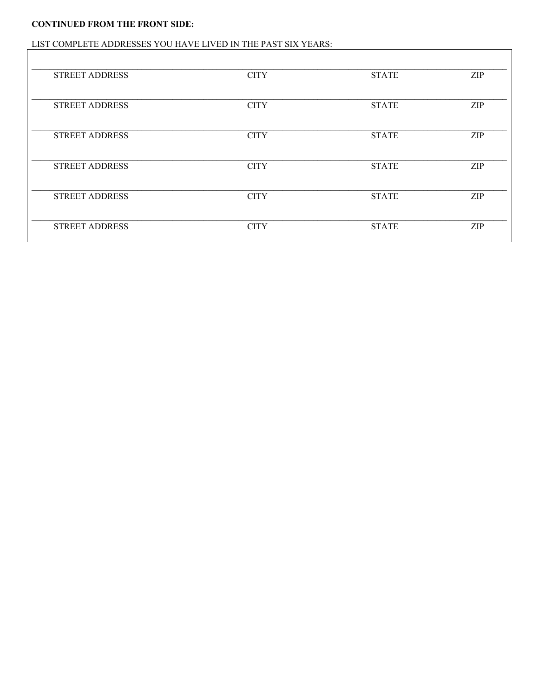#### **CONTINUED FROM THE FRONT SIDE:**

# LIST COMPLETE ADDRESSES YOU HAVE LIVED IN THE PAST SIX YEARS:

| <b>STREET ADDRESS</b> | <b>CITY</b> | <b>STATE</b> | ZIP |
|-----------------------|-------------|--------------|-----|
|                       |             |              |     |
| <b>STREET ADDRESS</b> | <b>CITY</b> | <b>STATE</b> | ZIP |
|                       |             |              |     |
| <b>STREET ADDRESS</b> | <b>CITY</b> | <b>STATE</b> | ZIP |
|                       |             |              |     |
| <b>STREET ADDRESS</b> | <b>CITY</b> | <b>STATE</b> | ZIP |
|                       |             |              |     |
| <b>STREET ADDRESS</b> | <b>CITY</b> | <b>STATE</b> | ZIP |
|                       |             |              |     |
| <b>STREET ADDRESS</b> | <b>CITY</b> | <b>STATE</b> | ZIP |
|                       |             |              |     |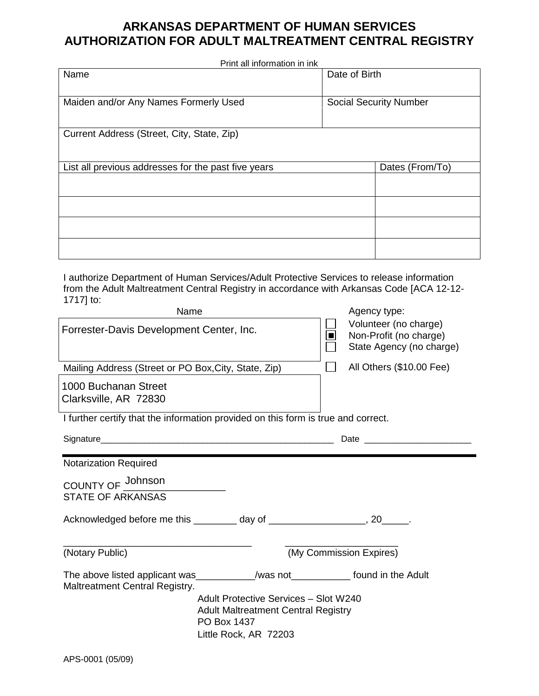## **ARKANSAS DEPARTMENT OF HUMAN SERVICES AUTHORIZATION FOR ADULT MALTREATMENT CENTRAL REGISTRY**

| Name                                                | Date of Birth                 |  |
|-----------------------------------------------------|-------------------------------|--|
|                                                     |                               |  |
| Maiden and/or Any Names Formerly Used               | <b>Social Security Number</b> |  |
|                                                     |                               |  |
|                                                     |                               |  |
| Current Address (Street, City, State, Zip)          |                               |  |
|                                                     |                               |  |
|                                                     |                               |  |
| List all previous addresses for the past five years | Dates (From/To)               |  |
|                                                     |                               |  |
|                                                     |                               |  |
|                                                     |                               |  |
|                                                     |                               |  |
|                                                     |                               |  |
|                                                     |                               |  |
|                                                     |                               |  |
|                                                     |                               |  |

I authorize Department of Human Services/Adult Protective Services to release information from the Adult Maltreatment Central Registry in accordance with Arkansas Code [ACA 12-12- 1717] to:

| Name                                                                                                                  | Agency type:                                                                                      |  |
|-----------------------------------------------------------------------------------------------------------------------|---------------------------------------------------------------------------------------------------|--|
| Forrester-Davis Development Center, Inc.                                                                              | Volunteer (no charge)<br>$\bar{\mathbb{Q}}$<br>Non-Profit (no charge)<br>State Agency (no charge) |  |
| Mailing Address (Street or PO Box, City, State, Zip)                                                                  | All Others (\$10.00 Fee)<br>$\Box$                                                                |  |
| 1000 Buchanan Street<br>Clarksville, AR 72830                                                                         |                                                                                                   |  |
| I further certify that the information provided on this form is true and correct.                                     |                                                                                                   |  |
|                                                                                                                       |                                                                                                   |  |
| <b>Notarization Required</b>                                                                                          |                                                                                                   |  |
| COUNTY OF Johnson                                                                                                     |                                                                                                   |  |
| <b>STATE OF ARKANSAS</b>                                                                                              |                                                                                                   |  |
| Acknowledged before me this _________ day of ___________________, 20_____.                                            |                                                                                                   |  |
| (Notary Public)                                                                                                       | (My Commission Expires)                                                                           |  |
| The above listed applicant was____________/was not______________ found in the Adult<br>Maltreatment Central Registry. |                                                                                                   |  |
| Adult Protective Services - Slot W240<br><b>Adult Maltreatment Central Registry</b><br>PO Box 1437                    |                                                                                                   |  |
| Little Rock, AR 72203                                                                                                 |                                                                                                   |  |
| APS-0001 (05/09)                                                                                                      |                                                                                                   |  |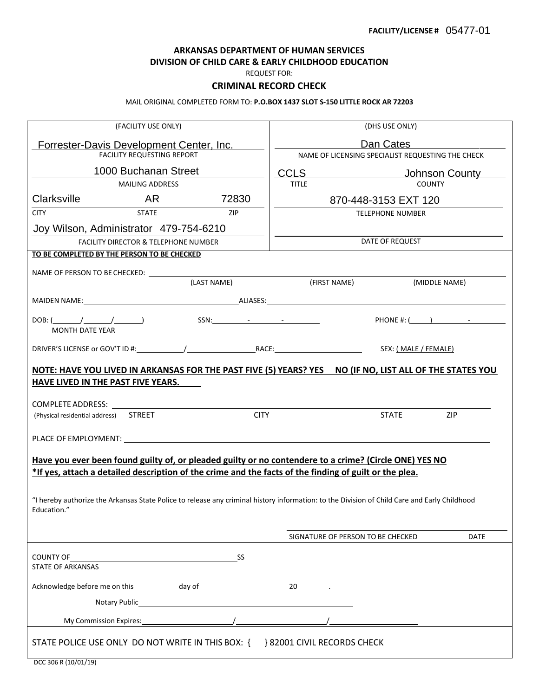#### **ARKANSAS DEPARTMENT OF HUMAN SERVICES**

#### **CRIMINAL RECORD CHECK**

#### MAIL ORIGINAL COMPLETED FORM TO: **P.O.BOX 1437 SLOT S-150 LITTLE ROCK AR 72203**

|                                                                                                                                                                                                                                |             |                                                                                      | FACILITY/LICENSE# 05477-01 |                      |
|--------------------------------------------------------------------------------------------------------------------------------------------------------------------------------------------------------------------------------|-------------|--------------------------------------------------------------------------------------|----------------------------|----------------------|
| <b>ARKANSAS DEPARTMENT OF HUMAN SERVICES</b><br>DIVISION OF CHILD CARE & EARLY CHILDHOOD EDUCATION<br><b>REQUEST FOR:</b>                                                                                                      |             |                                                                                      |                            |                      |
|                                                                                                                                                                                                                                |             | <b>CRIMINAL RECORD CHECK</b>                                                         |                            |                      |
|                                                                                                                                                                                                                                |             | MAIL ORIGINAL COMPLETED FORM TO: <b>P.O.BOX 1437 SLOT S-150 LITTLE ROCK AR 72203</b> |                            |                      |
| (FACILITY USE ONLY)                                                                                                                                                                                                            |             |                                                                                      | (DHS USE ONLY)             |                      |
| Forrester-Davis Development Center, Inc.                                                                                                                                                                                       |             | Dan Cates                                                                            |                            |                      |
| <b>FACILITY REQUESTING REPORT</b>                                                                                                                                                                                              |             | NAME OF LICENSING SPECIALIST REQUESTING THE CHECK                                    |                            |                      |
| 1000 Buchanan Street                                                                                                                                                                                                           |             | <b>CCLS</b>                                                                          |                            | Johnson County       |
| <b>MAILING ADDRESS</b>                                                                                                                                                                                                         |             | <b>TITLE</b>                                                                         | <b>COUNTY</b>              |                      |
| Clarksville<br>AR AR                                                                                                                                                                                                           | 72830       |                                                                                      | 870-448-3153 EXT 120       |                      |
| <b>STATE</b><br><b>CITY</b>                                                                                                                                                                                                    | ZIP         | <b>TELEPHONE NUMBER</b>                                                              |                            |                      |
| Joy Wilson, Administrator 479-754-6210                                                                                                                                                                                         |             |                                                                                      |                            |                      |
| <b>FACILITY DIRECTOR &amp; TELEPHONE NUMBER</b>                                                                                                                                                                                |             |                                                                                      | DATE OF REQUEST            |                      |
| TO BE COMPLETED BY THE PERSON TO BE CHECKED                                                                                                                                                                                    |             |                                                                                      |                            |                      |
| NAME OF PERSON TO BE CHECKED:                                                                                                                                                                                                  | (LAST NAME) | (FIRST NAME)                                                                         |                            | (MIDDLE NAME)        |
|                                                                                                                                                                                                                                |             |                                                                                      |                            |                      |
| DOB: $($ / / /                                                                                                                                                                                                                 |             |                                                                                      |                            | PHONE #: $($ $)$ $-$ |
| <b>MONTH DATE YEAR</b>                                                                                                                                                                                                         |             |                                                                                      |                            |                      |
|                                                                                                                                                                                                                                |             |                                                                                      |                            |                      |
| NOTE: HAVE YOU LIVED IN ARKANSAS FOR THE PAST FIVE (5) YEARS? YES     NO (IF NO, LIST ALL OF THE STATES YOU                                                                                                                    |             |                                                                                      |                            |                      |
| HAVE LIVED IN THE PAST FIVE YEARS.                                                                                                                                                                                             |             |                                                                                      |                            |                      |
|                                                                                                                                                                                                                                |             |                                                                                      |                            |                      |
| COMPLETE ADDRESS:<br><b>STREET</b><br>(Physical residential address)                                                                                                                                                           | <b>CITY</b> |                                                                                      | <b>STATE</b>               | ZIP                  |
|                                                                                                                                                                                                                                |             |                                                                                      |                            |                      |
| PLACE OF EMPLOYMENT: Letters and the state of the state of the state of the state of the state of the state of the state of the state of the state of the state of the state of the state of the state of the state of the sta |             |                                                                                      |                            |                      |
| Have you ever been found guilty of, or pleaded guilty or no contendere to a crime? (Circle ONE) YES NO                                                                                                                         |             |                                                                                      |                            |                      |
| *If yes, attach a detailed description of the crime and the facts of the finding of guilt or the plea.                                                                                                                         |             |                                                                                      |                            |                      |
|                                                                                                                                                                                                                                |             |                                                                                      |                            |                      |
| "I hereby authorize the Arkansas State Police to release any criminal history information: to the Division of Child Care and Early Childhood<br>Education."                                                                    |             |                                                                                      |                            |                      |
|                                                                                                                                                                                                                                |             |                                                                                      |                            |                      |
|                                                                                                                                                                                                                                |             | SIGNATURE OF PERSON TO BE CHECKED                                                    |                            | <b>DATE</b>          |
| <b>STATE OF ARKANSAS</b>                                                                                                                                                                                                       |             |                                                                                      |                            |                      |
|                                                                                                                                                                                                                                |             |                                                                                      |                            |                      |
|                                                                                                                                                                                                                                |             |                                                                                      |                            |                      |
|                                                                                                                                                                                                                                |             |                                                                                      |                            |                      |
|                                                                                                                                                                                                                                |             |                                                                                      |                            |                      |
| STATE POLICE USE ONLY DO NOT WRITE IN THIS BOX: { } 82001 CIVIL RECORDS CHECK                                                                                                                                                  |             |                                                                                      |                            |                      |
| DCC 306 R (10/01/19)                                                                                                                                                                                                           |             |                                                                                      |                            |                      |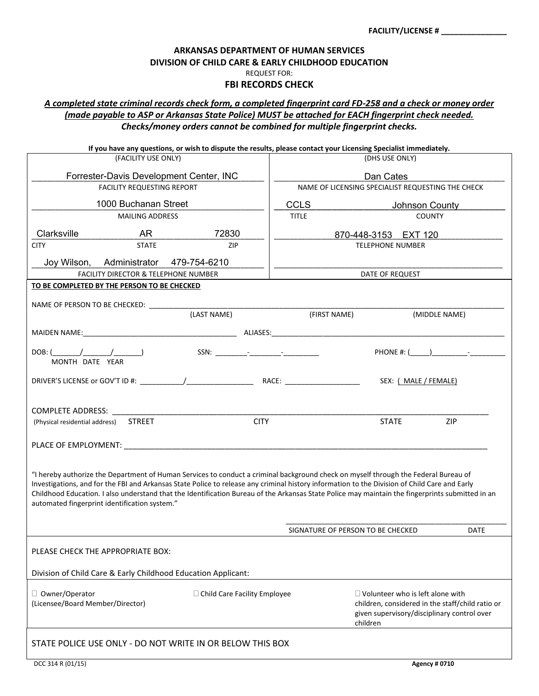#### **ARKANSAS DEPARTMENT OF HUMAN SERVICES DIVISION OF CHILD CARE & EARLY CHILDHOOD EDUCATION**  REQUEST FOR: **FBI RECORDS CHECK**

#### *A completed state criminal records check form, a completed fingerprint card FD-258 and a check or money order (made payable to ASP or Arkansas State Police) MUST be attached for EACH fingerprint check needed. Checks/money orders cannot be combined for multiple fingerprint checks.*

**If you have any questions, or wish to dispute the results, please contact your Licensing Specialist immediately.**

| (FACILITY USE ONLY)                                                                                                                                                                                                                                                                  | (DHS USE ONLY)                                                                                                                                   |  |  |
|--------------------------------------------------------------------------------------------------------------------------------------------------------------------------------------------------------------------------------------------------------------------------------------|--------------------------------------------------------------------------------------------------------------------------------------------------|--|--|
| Forrester-Davis Development Center, INC                                                                                                                                                                                                                                              | Dan Cates                                                                                                                                        |  |  |
| <b>FACILITY REQUESTING REPORT</b>                                                                                                                                                                                                                                                    | NAME OF LICENSING SPECIALIST REQUESTING THE CHECK                                                                                                |  |  |
| 1000 Buchanan Street                                                                                                                                                                                                                                                                 | <b>CCLS</b><br>Johnson County                                                                                                                    |  |  |
| <b>MAILING ADDRESS</b>                                                                                                                                                                                                                                                               | <b>TITLE</b><br><b>COUNTY</b>                                                                                                                    |  |  |
| AR.<br>72830                                                                                                                                                                                                                                                                         |                                                                                                                                                  |  |  |
| Clarksville                                                                                                                                                                                                                                                                          | 870-448-3153 EXT 120                                                                                                                             |  |  |
| <b>CITY</b><br><b>STATE</b><br>ZIP<br><b>TELEPHONE NUMBER</b>                                                                                                                                                                                                                        |                                                                                                                                                  |  |  |
| Joy Wilson, Administrator 479-754-6210                                                                                                                                                                                                                                               |                                                                                                                                                  |  |  |
| <b>FACILITY DIRECTOR &amp; TELEPHONE NUMBER</b>                                                                                                                                                                                                                                      | DATE OF REQUEST                                                                                                                                  |  |  |
| TO BE COMPLETED BY THE PERSON TO BE CHECKED                                                                                                                                                                                                                                          |                                                                                                                                                  |  |  |
| NAME OF PERSON TO BE CHECKED:                                                                                                                                                                                                                                                        |                                                                                                                                                  |  |  |
| (LAST NAME)                                                                                                                                                                                                                                                                          | (FIRST NAME)<br>(MIDDLE NAME)                                                                                                                    |  |  |
|                                                                                                                                                                                                                                                                                      |                                                                                                                                                  |  |  |
|                                                                                                                                                                                                                                                                                      |                                                                                                                                                  |  |  |
| $DOB: ($ / / )                                                                                                                                                                                                                                                                       | PHONE #: $($ ) -                                                                                                                                 |  |  |
| MONTH DATE YEAR                                                                                                                                                                                                                                                                      |                                                                                                                                                  |  |  |
|                                                                                                                                                                                                                                                                                      | SEX: ( MALE / FEMALE)                                                                                                                            |  |  |
|                                                                                                                                                                                                                                                                                      |                                                                                                                                                  |  |  |
|                                                                                                                                                                                                                                                                                      |                                                                                                                                                  |  |  |
| COMPLETE ADDRESS:<br><b>STREET</b><br>(Physical residential address)                                                                                                                                                                                                                 | <b>CITY</b><br><b>STATE</b><br>ZIP                                                                                                               |  |  |
|                                                                                                                                                                                                                                                                                      |                                                                                                                                                  |  |  |
|                                                                                                                                                                                                                                                                                      |                                                                                                                                                  |  |  |
|                                                                                                                                                                                                                                                                                      |                                                                                                                                                  |  |  |
|                                                                                                                                                                                                                                                                                      |                                                                                                                                                  |  |  |
| "I hereby authorize the Department of Human Services to conduct a criminal background check on myself through the Federal Bureau of<br>Investigations, and for the FBI and Arkansas State Police to release any criminal history information to the Division of Child Care and Early |                                                                                                                                                  |  |  |
|                                                                                                                                                                                                                                                                                      | Childhood Education. I also understand that the Identification Bureau of the Arkansas State Police may maintain the fingerprints submitted in an |  |  |
| automated fingerprint identification system."                                                                                                                                                                                                                                        |                                                                                                                                                  |  |  |
|                                                                                                                                                                                                                                                                                      |                                                                                                                                                  |  |  |
|                                                                                                                                                                                                                                                                                      | SIGNATURE OF PERSON TO BE CHECKED<br>DATE                                                                                                        |  |  |
|                                                                                                                                                                                                                                                                                      |                                                                                                                                                  |  |  |
| PLEASE CHECK THE APPROPRIATE BOX:                                                                                                                                                                                                                                                    |                                                                                                                                                  |  |  |
|                                                                                                                                                                                                                                                                                      |                                                                                                                                                  |  |  |
| Division of Child Care & Early Childhood Education Applicant:                                                                                                                                                                                                                        |                                                                                                                                                  |  |  |
| □ Owner/Operator<br>□ Child Care Facility Employee                                                                                                                                                                                                                                   | $\Box$ Volunteer who is left alone with                                                                                                          |  |  |
| (Licensee/Board Member/Director)<br>children, considered in the staff/child ratio or                                                                                                                                                                                                 |                                                                                                                                                  |  |  |
| given supervisory/disciplinary control over<br>children                                                                                                                                                                                                                              |                                                                                                                                                  |  |  |
|                                                                                                                                                                                                                                                                                      |                                                                                                                                                  |  |  |
| STATE POLICE USE ONLY - DO NOT WRITE IN OR BELOW THIS BOX                                                                                                                                                                                                                            |                                                                                                                                                  |  |  |
|                                                                                                                                                                                                                                                                                      |                                                                                                                                                  |  |  |
| DCC 314 R (01/15)                                                                                                                                                                                                                                                                    | <b>Agency # 0710</b>                                                                                                                             |  |  |